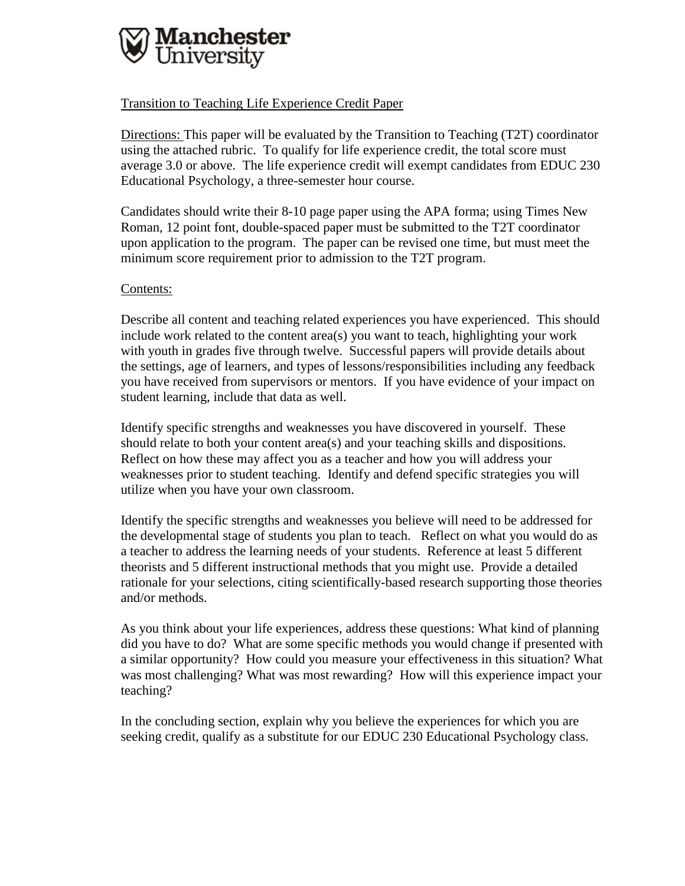

Transition to Teaching Life Experience Credit Paper

Directions: This paper will be evaluated by the Transition to Teaching (T2T) coordinator using the attached rubric. To qualify for life experience credit, the total score must average 3.0 or above. The life experience credit will exempt candidates from EDUC 230 Educational Psychology, a three-semester hour course.

Candidates should write their 8-10 page paper using the APA forma; using Times New Roman, 12 point font, double-spaced paper must be submitted to the T2T coordinator upon application to the program. The paper can be revised one time, but must meet the minimum score requirement prior to admission to the T2T program.

## Contents:

Describe all content and teaching related experiences you have experienced. This should include work related to the content area(s) you want to teach, highlighting your work with youth in grades five through twelve. Successful papers will provide details about the settings, age of learners, and types of lessons/responsibilities including any feedback you have received from supervisors or mentors. If you have evidence of your impact on student learning, include that data as well.

Identify specific strengths and weaknesses you have discovered in yourself. These should relate to both your content area(s) and your teaching skills and dispositions. Reflect on how these may affect you as a teacher and how you will address your weaknesses prior to student teaching. Identify and defend specific strategies you will utilize when you have your own classroom.

Identify the specific strengths and weaknesses you believe will need to be addressed for the developmental stage of students you plan to teach. Reflect on what you would do as a teacher to address the learning needs of your students. Reference at least 5 different theorists and 5 different instructional methods that you might use. Provide a detailed rationale for your selections, citing scientifically-based research supporting those theories and/or methods.

As you think about your life experiences, address these questions: What kind of planning did you have to do? What are some specific methods you would change if presented with a similar opportunity? How could you measure your effectiveness in this situation? What was most challenging? What was most rewarding? How will this experience impact your teaching?

In the concluding section, explain why you believe the experiences for which you are seeking credit, qualify as a substitute for our EDUC 230 Educational Psychology class.